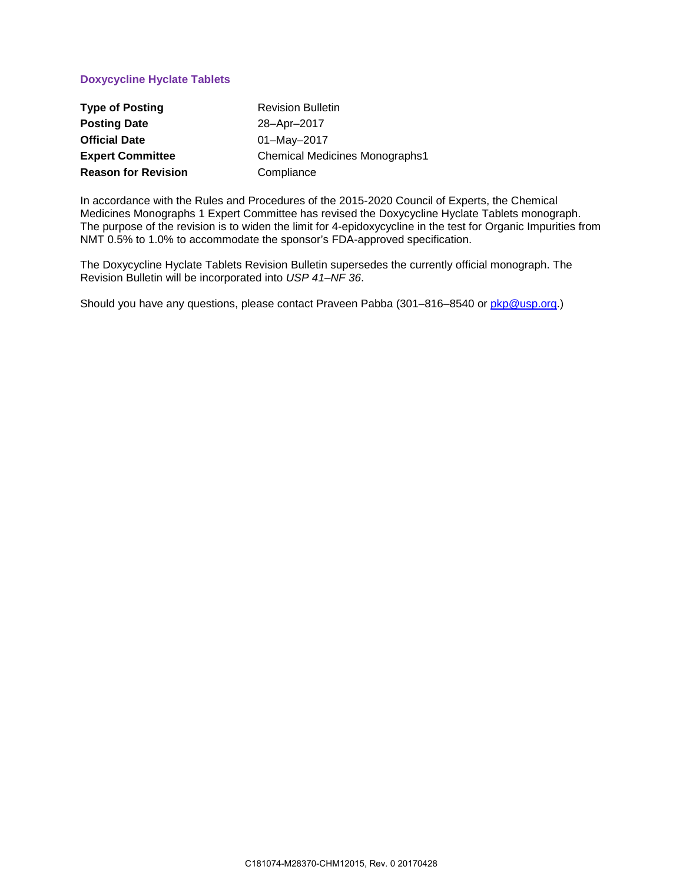### **Doxycycline Hyclate Tablets**

| <b>Type of Posting</b>     | <b>Revision Bulletin</b>              |
|----------------------------|---------------------------------------|
| <b>Posting Date</b>        | 28-Apr-2017                           |
| <b>Official Date</b>       | $01 -$ May $-2017$                    |
| <b>Expert Committee</b>    | <b>Chemical Medicines Monographs1</b> |
| <b>Reason for Revision</b> | Compliance                            |

In accordance with the Rules and Procedures of the 2015-2020 Council of Experts, the Chemical Medicines Monographs 1 Expert Committee has revised the Doxycycline Hyclate Tablets monograph. The purpose of the revision is to widen the limit for 4-epidoxycycline in the test for Organic Impurities from NMT 0.5% to 1.0% to accommodate the sponsor's FDA-approved specification.

The Doxycycline Hyclate Tablets Revision Bulletin supersedes the currently official monograph. The Revision Bulletin will be incorporated into *USP 41–NF 36*.

Should you have any questions, please contact Praveen Pabba (301-816-8540 or [pkp@usp.org.](mailto:pkp@usp.org))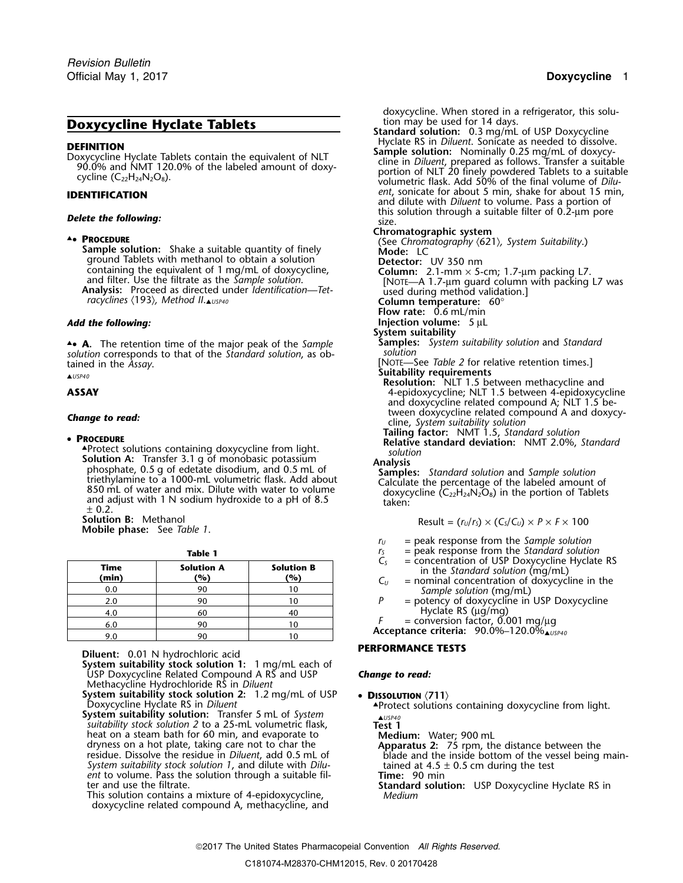## **Doxycycline Hyclate Tablets**

ground Tablets with methanol to obtain a solution **Detector:** UV 350 nm<br>containing the equivalent of 1 mg/mL of doxycycline, **Column:** 2.1-mm  $\times$  5*racyclines* 〈193〉*, Method II*.▲*USP40* **Column temperature:** 60°

▲**.**• **<sup>A</sup>.** The retention time of the major peak of the *Sample* **Samples:** *System suitability solution* and *Standard solution* corresponds to that of the *Standard solution*, as ob- *solution*

**Solution A:** Transfer 3.1 g of monobasic potassium<br>
phosphate, 0.5 g of edetate disodium, and 0.5 mL of<br>
triethylamine to a 1000-mL volumetric flask. Add about<br>
850 mL of water and mix. Dilute with water to volume<br>
and a  $± 0.2.$ 

**Solution B:** Methanol **Result = (***R*)  $\mathbb{R}$ **Mobile phase:** See *Table 1*.

| IANIC I              |                          |                          |  |  |
|----------------------|--------------------------|--------------------------|--|--|
| <b>Time</b><br>(min) | <b>Solution A</b><br>(%) | <b>Solution B</b><br>(%) |  |  |
| 0.0                  | 90                       | 10                       |  |  |
| 2.0                  | 90                       | 10                       |  |  |
| 4.0                  | 60                       | 40                       |  |  |
| 6.0                  | 90                       | 10                       |  |  |
| 9.0                  | 90                       | ۱0                       |  |  |

**Diluent:** 0.01 N hydrochloric acid **PERFORMANCE TESTS** 

**System suitability stock solution 1:** 1 mg/mL each of USP Doxycycline Related Compound A RS and USP *Change to read:* Methacycline Hydrochloride RS in *Diluent*

- System suitability stock solution 2:  $1.2 \text{ mg/mL}$  of USP <br>Doxycycline Hyclate RS in *Diluent*<br>System suitability solution: Transfer 5 mL of System <br> $\frac{405P40}{\text{M}}$
- *suitability stock solution 2* to a 25-mL volumetric flask, **Test 1** *ent* to volume. Pass the solution through a suitable fil- **Time:** 90 min

doxycycline related compound A, methacycline, and

doxycycline. When stored in a refrigerator, this solution may be used for 14 days.

**Standard solution:** 0.3 mg/mL of USP Doxycycline<br>Hyclate RS in *Diluent*. Sonicate as needed to dissolve.<br>**Sample solution:** Nominally 0.25 mg/mL of doxycy-**DEFINITION**<br>
Doxycycline Hyclate Tablets contain the equivalent of NLT<br>
90.0% and NMT 120.0% of the labeled amount of doxy-<br>
cline in *Diluent*, prepared as follows. Transfer a suitable<br>
cycline (C<sub>2z</sub>H<sub>24</sub>N<sub>2</sub>O<sub>8</sub>).<br>
exp **IDENTIFICATION IDENTIFICATION 15 min**, **IDENTIFICATION and dilute with** *Diluent* **to volume. Pass a portion of Delete the following: Delete the following:** size. **Delete the following:** size.

**Chromatographic system** ▲**.**• **<sup>P</sup>ROCEDURE** (See *Chromatography* 〈621〉*, System Suitability*.) **Sample solution:** Shake a suitable quantity of finely **Mode:** LC containing the equivalent of 1 mg/mL of doxycycline,<br>and filter. Use the filtrate as the *Sample solution*.<br>**Analysis:** Proceed as directed under *Identification—Tet*-<br>racyclines (193), Method II. wspx40<br>racyclines (193), **Flow rate:** 0.6 mL/min *Add the following:* **Injection volume:**<sup>5</sup> <sup>µ</sup><sup>L</sup> **System suitability**<br>**Samples:** System suitability solution and Standard **EXECUTE 1999** and the *Assay*.<br> **A**USP40<br> **AUSP40 ASSAY**<br> **ASSAY ASSAY Resolution:** NLT 1.5 between 4-epidoxycy **ASSAY** 4-epidoxycycline; NLT 1.5 between 4-epidoxycycline and doxycycline related compound A; NLT 1.5 between doxycycline related compound A and doxycy- *Change to read:* cline, *System suitability solution* **Tailing factor:** NMT 1.5, *Standard solution* •**<sup>P</sup>ROCEDURE Relative standard deviation:** NMT 2.0%, *Standard* ▲

Result = 
$$
(r_U/r_S) \times (C_S/C_U) \times P \times F \times 100
$$

- *<sup>r</sup><sup>U</sup>* = peak response from the *Sample solution*
- **Table 1** *<sup>r</sup><sup>S</sup>* = peak response from the *Standard solution*
- $C_5$  = concentration of USP Doxycycline Hyclate RS<br>in the Standard solution (mg/mL)<br> $C_U$  = nominal concentration of doxycycline in the
- Sample solution (mg/mL)<br>P = potency of doxycycline in
- = potency of doxycycline in USP Doxycycline  $F =$  experience RS ( $\mu$ g/mg)<br> $F =$  conversion factor, 0.001 mg/ $\mu$ g
	-

*Acceptance criteria: 90.0%–120.0%* 

heat on a steam bath for 60 min, and evaporate to<br>dryness on a hot plate, taking care not to char the **Apparatus 2:** 75 rpm, the distance between the<br>residue. Dissolve the residue in *Diluent*, add 0.5 mL of blade and the

ter and use the filtrate. **Standard solution:** USP Doxycycline Hyclate RS in This solution contains a mixture of 4-epidoxycycline, *Medium*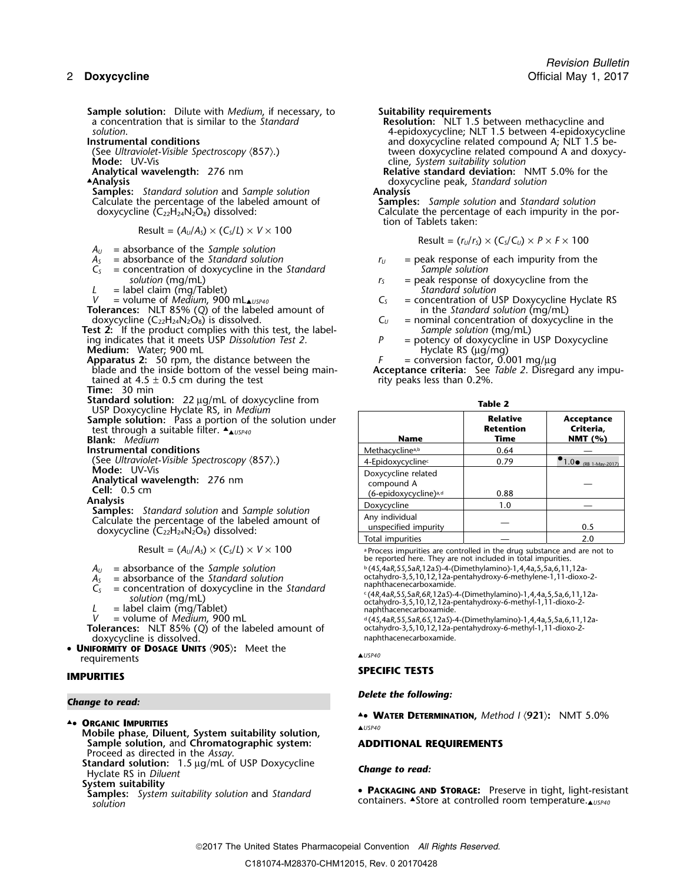**Sample solution:** Dilute with *Medium*, if necessary, to **Suitability requirements** a concentration that is similar to the *Standard* **Resolution:** NLT 1.5 be a concentration that is similar to the *Standard* **Resolution:** NLT 1.5 between methacycline and

**Mode:** UV-Vis Cline, *System suitability solution*<br> **Analytical wavelength:** 276 nm<br> **Cline,** *System suitability solution***:** Nelative standard deviation:

▲Analysis

**Samples:** *Standard solution* and *Sample solution* **Analysis** Calculate the percentage of the labeled amount of doxycycline (C<sub>22</sub>H<sub>24</sub>N<sub>2</sub>O<sub>8</sub>) dissolved:

 $Result = (A<sub>U</sub>/A<sub>S</sub>) \times (C<sub>S</sub>/L) \times V \times 100$ 

*A<sup>U</sup>* = absorbance of the *Sample solution*

- 
- $C<sub>S</sub>$  = concentration of doxycycline in the *Standard solution* (mg/mL)
- 

**Tolerances:** NLT 85% (*Q*) of the labeled amount of in the *Standard solution* (mg/mL)

**Test 2:** If the product complies with this test, the label- *Sample solution* (mg/mL) ing indicates that it meets USP *Dissolution Test 2. P* = potency of doxycycline in USP Doxycycline

- 
- **Apparatus 2:** 50 rpm, the distance between the *F* blade and the inside bottom of the vessel being maintained at 4.5  $\pm$  0.5 cm during the test **Time:** 30 min
- 
- **Standard solution:**<sup>22</sup> <sup>µ</sup>g/mL of doxycycline from **Table 2** USP Doxycycline Hyclate RS, in *Medium*

- **Blank:** Medium
- **Instrumental conditions**

- $A_U$  = absorbance of the *Sample solution*
- 
- $C<sub>S</sub>$  = concentration of doxycycline in the *Standard* solution (mg/mL)
- 
- 

**Tolerances:** NLT 85% (Q) of the labeled amount of octahydro-3,5,10,12,12a-pendoxy-cline is dissolved. doxycycline is dissolved.

• **<sup>U</sup>NIFORMITY OF DOSAGE UNITS** 〈**905**〉**:** Meet the ▲*USP40* requirements

- 
- **. <sup>O</sup>RGANIC IMPURITIES** ▲*USP40* **Mobile phase, Diluent, System suitability solution, Sample solution,** and **Chromatographic system: ADDITIONAL REQUIREMENTS** Proceed as directed in the *Assay*.

**Standard solution:** 1.5 <sup>µ</sup>g/mL of USP Doxycycline *Change to read:* Hyclate RS in *Diluent*

*solution*. 4-epidoxycycline; NLT 1.5 between 4-epidoxycycline **Instrumental conditions**<br>
(See Ultraviolet-Visible Spectroscopy (857).) and doxycycline related compound A and doxyc (See *Ultraviolet-Visible Spectroscopy*  $\langle 857 \rangle$ .) tween doxycycline related compound A and doxycy-<br> **Mode:** UV-Vis cline, System suitability solution

**Relative standard deviation:** NMT 5.0% for the **.Analysis** doxycycline peak, *Standard solution*

Calculate the percentage of each impurity in the portion of Tablets taken:

Result = 
$$
(r_U/r_S)
$$
 ×  $(C_S/C_U)$  ×  $P$  ×  $F$  × 100

- $A_s$  = absorbance of the *Standard solution r<sub>U</sub>* = peak response of each impurity from the  $C_s$  = concentration of doxycycline in the *Standard fu Sample solution* 
	- $r<sub>S</sub>$  = peak response of doxycycline from the
- *L* = label claim (mg/Tablet) *Standard solution V* = volume of *Medium*, 900 mL▲*USP40 C<sup>S</sup>* = concentration of USP Doxycycline Hyclate RS
- doxycycline  $(C_{22}H_{24}N_2O_8)$  is dissolved.<br> **C**<sub>*U*</sub> = nominal concentration of doxycycline in the sample solution (mg/mL)
- ing indicates that it meets USP Dissolution Test 2.<br> **Medium:** Water; 900 mL<br> **Apparatus 2:** 50 rpm, the distance between the The The Conversion factor, 0.001 mg/µg<br>
Apparatus 2: 50 rpm, the distance between the The The Co
	-

**Acceptance criteria:** See *Table 2*. Disregard any impu-<br>rity peaks less than 0.2%.

| я<br>L |  |  |
|--------|--|--|

| USP Doxycycline Hyclate RS, in Medium                                                                                                                |                                                                        |                                             |                                         |
|------------------------------------------------------------------------------------------------------------------------------------------------------|------------------------------------------------------------------------|---------------------------------------------|-----------------------------------------|
| Sample solution: Pass a portion of the solution under<br>test through a suitable filter. $\triangle_{\triangle USP40}$<br><b>Blank:</b> Medium       | <b>Name</b>                                                            | <b>Relative</b><br><b>Retention</b><br>Time | Acceptance<br>Criteria,<br>NMT $(% )$   |
| <b>Instrumental conditions</b>                                                                                                                       | Methacycline <sup>a,b</sup>                                            | 0.64                                        |                                         |
| (See Ultraviolet-Visible Spectroscopy $(857)$ .)                                                                                                     | 4-Epidoxycycline <sup>c</sup>                                          | 0.79                                        | $\bullet$ 1.0 $\bullet$ (RB 1-May-2017) |
| Mode: UV-Vis<br>Analytical wavelength: 276 nm<br>Cell: $0.5 \text{ cm}$                                                                              | Doxycycline related<br>compound A<br>(6-epidoxycycline) <sup>a,d</sup> | 0.88                                        |                                         |
| Analysis                                                                                                                                             | Doxycycline                                                            | 1.0                                         |                                         |
| Samples: Standard solution and Sample solution<br>Calculate the percentage of the labeled amount of<br>doxycycline $(C_{22}H_{24}N_2O_8)$ dissolved: | Any individual<br>unspecified impurity                                 |                                             | 0.5                                     |
|                                                                                                                                                      | Total impurities                                                       |                                             | 2.0                                     |

Result =  $(A_U/A_S) \times (C_S/L) \times V \times 100$  a Process impurities are controlled in the drug substance and are not to be reported here. They are not included in total impurities.<br> $\frac{b}{45.4aR}$ , 55, 5a.R, 12a.S)-4-(Dimethylamino)-1, 4, 4a, 5, 5a, 6, 11, 12a-

*A*<sub>S</sub> = absorbance of the *Standard solution*<br>  $\alpha$ <sub>S</sub> = absorbance of the *Standard solution*<br>  $\alpha$ <sub>naphthacenecarboxamide.</sub>

 $L_s$  = concentration of doxycycline in the standard<br>solution (mg/mL)<br> $L =$  label claim (mg/Tablet)<br>v = volume of *Medium*, 900 mL  $V =$  volume of *Medium*, 900 mL

*V* = volume of *Medium*, 900 mL <sup>d</sup> .(4*S*,4a*R*,5*S*,5a*R*,6*S*,12a*S*)-4-(Dimethylamino)-1,4,4a,5,5a,6,11,12a-

## **SPECIFIC TESTS IMPURITIES**

# *Delete the following: Change to read:*

▲**.**• **<sup>W</sup>ATER DETERMINATION,** *Method I* 〈**921**〉**:** NMT 5.0% ▲

System suitability<br>Samples: System suitability solution and Standard **• PACKAGING AND STORAGE:** Preserve in tight, light-resistant solution<br>solution